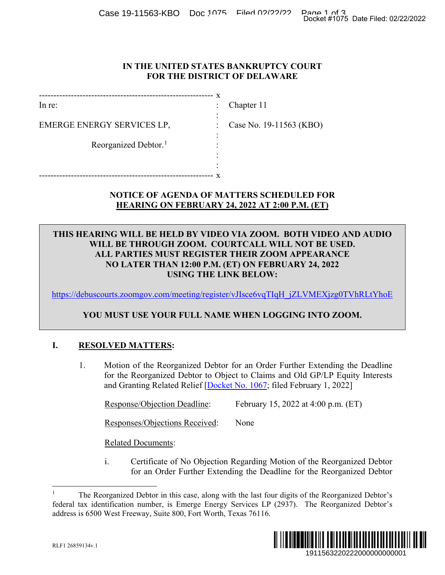Case 19-11563-KBO Doc 1075 Filed 02/22/2022 Docket #1075 Date Filed: 02/22/2022

### **IN THE UNITED STATES BANKRUPTCY COURT FOR THE DISTRICT OF DELAWARE**

------------------------------------------------------------ x In re: EMERGE ENERGY SERVICES LP, : Case No. 19-11563 (KBO) Reorganized Debtor.<sup>[1](#page-0-0)</sup> ------------------------------------------------------------ x : Chapter 11 : : : : :

# **NOTICE OF AGENDA OF MATTERS SCHEDULED FOR HEARING ON FEBRUARY 24, 2022 AT 2:00 P.M. (ET)**

# **THIS HEARING WILL BE HELD BY VIDEO VIA ZOOM. BOTH VIDEO AND AUDIO WILL BE THROUGH ZOOM. COURTCALL WILL NOT BE USED. ALL PARTIES MUST REGISTER THEIR ZOOM APPEARANCE NO LATER THAN 12:00 P.M. (ET) ON FEBRUARY 24, 2022 USING THE LINK BELOW:** Docket #1075 Date Filed: 02/22/2022<br>
URT<br>
URT<br>
ED FOR<br>
1. (ET)<br>
H VIDEO AND AUDIO<br>
DT BE USED.<br>
24, 2022<br>
VMEXjzg0TVhRLtYhoE<br>
21, 2022<br>
VMEXjzg0TVhRLtYhoE<br>
EINTO ZOOM.<br>
FEXtending the Deadline<br>
d GP/LP Equity Interests<br>
t

[https://debuscourts.zoomgov.com/meeting/register/vJIsce6vqTIqH\\_jZLVMEXjzg0TVhRLtYhoE](https://protect-us.mimecast.com/s/COpHCzpxXNfxpg99S4Dv42?domain=debuscourts.zoomgov.com)

# **YOU MUST USE YOUR FULL NAME WHEN LOGGING INTO ZOOM.**

## **I. RESOLVED MATTERS:**

1. Motion of the Reorganized Debtor for an Order Further Extending the Deadline for the Reorganized Debtor to Object to Claims and Old GP/LP Equity Interests and Granting Related Relief [\[Docket No. 1067;](https://ecf.deb.uscourts.gov/doc1/042020238416) filed February 1, 2022]

Response/Objection Deadline: February 15, 2022 at 4:00 p.m. (ET)

Responses/Objections Received: None

Related Documents:

i. Certificate of No Objection Regarding Motion of the Reorganized Debtor for an Order Further Extending the Deadline for the Reorganized Debtor

<span id="page-0-0"></span> <sup>1</sup> The Reorganized Debtor in this case, along with the last four digits of the Reorganized Debtor's federal tax identification number, is Emerge Energy Services LP (2937). The Reorganized Debtor's address is 6500 West Freeway, Suite 800, Fort Worth, Texas 76116.

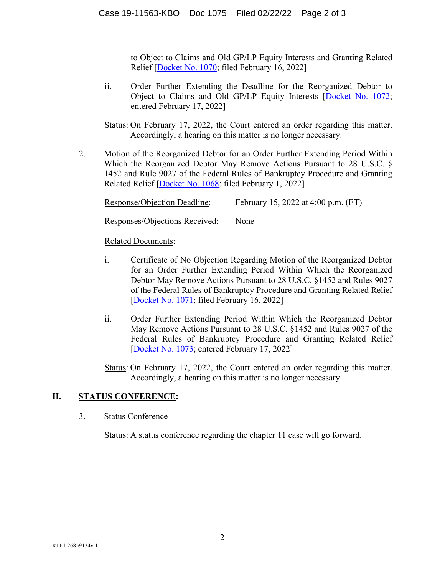to Object to Claims and Old GP/LP Equity Interests and Granting Related Relief [\[Docket No. 1070;](https://ecf.deb.uscourts.gov/doc1/042020260028) filed February 16, 2022]

ii. Order Further Extending the Deadline for the Reorganized Debtor to Object to Claims and Old GP/LP Equity Interests [\[Docket No. 1072;](https://ecf.deb.uscourts.gov/doc1/042020261574) entered February 17, 2022]

Status: On February 17, 2022, the Court entered an order regarding this matter. Accordingly, a hearing on this matter is no longer necessary.

2. Motion of the Reorganized Debtor for an Order Further Extending Period Within Which the Reorganized Debtor May Remove Actions Pursuant to 28 U.S.C. § 1452 and Rule 9027 of the Federal Rules of Bankruptcy Procedure and Granting Related Relief [\[Docket No. 1068;](https://ecf.deb.uscourts.gov/doc1/042020238437) filed February 1, 2022]

Response/Objection Deadline: February 15, 2022 at 4:00 p.m. (ET)

Responses/Objections Received: None

## Related Documents:

- i. Certificate of No Objection Regarding Motion of the Reorganized Debtor for an Order Further Extending Period Within Which the Reorganized Debtor May Remove Actions Pursuant to 28 U.S.C. §1452 and Rules 9027 of the Federal Rules of Bankruptcy Procedure and Granting Related Relief [\[Docket No. 1071;](https://ecf.deb.uscourts.gov/doc1/042020260058) filed February 16, 2022]
- ii. Order Further Extending Period Within Which the Reorganized Debtor May Remove Actions Pursuant to 28 U.S.C. §1452 and Rules 9027 of the Federal Rules of Bankruptcy Procedure and Granting Related Relief [Docket [No. 1073;](https://ecf.deb.uscourts.gov/doc1/042020261610) entered February 17, 2022]

Status: On February 17, 2022, the Court entered an order regarding this matter. Accordingly, a hearing on this matter is no longer necessary.

# **II. STATUS CONFERENCE:**

3. Status Conference

Status: A status conference regarding the chapter 11 case will go forward.